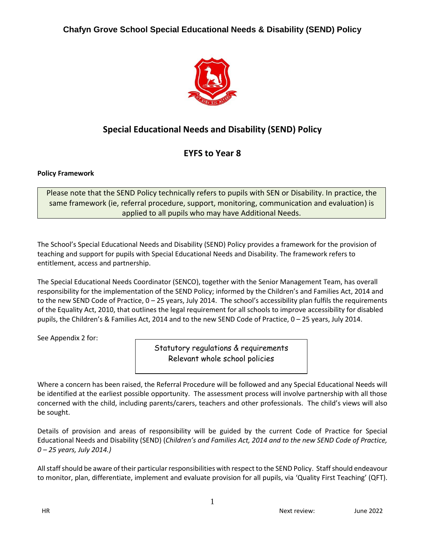

# **Special Educational Needs and Disability (SEND) Policy**

# **EYFS to Year 8**

# **Policy Framework**

Please note that the SEND Policy technically refers to pupils with SEN or Disability. In practice, the same framework (ie, referral procedure, support, monitoring, communication and evaluation) is applied to all pupils who may have Additional Needs.

The School's Special Educational Needs and Disability (SEND) Policy provides a framework for the provision of teaching and support for pupils with Special Educational Needs and Disability. The framework refers to entitlement, access and partnership.

The Special Educational Needs Coordinator (SENCO), together with the Senior Management Team, has overall responsibility for the implementation of the SEND Policy; informed by the Children's and Families Act, 2014 and to the new SEND Code of Practice, 0 – 25 years, July 2014. The school's accessibility plan fulfils the requirements of the Equality Act, 2010, that outlines the legal requirement for all schools to improve accessibility for disabled pupils, the Children's & Families Act, 2014 and to the new SEND Code of Practice, 0 – 25 years, July 2014.

See Appendix 2 for:

Statutory regulations & requirements Relevant whole school policies

Where a concern has been raised, the Referral Procedure will be followed and any Special Educational Needs will be identified at the earliest possible opportunity. The assessment process will involve partnership with all those concerned with the child, including parents/carers, teachers and other professionals. The child's views will also be sought.

Details of provision and areas of responsibility will be guided by the current Code of Practice for Special Educational Needs and Disability (SEND) (*Children's and Families Act, 2014 and to the new SEND Code of Practice, 0 – 25 years, July 2014.)*

All staff should be aware of their particular responsibilities with respect to the SEND Policy. Staff should endeavour to monitor, plan, differentiate, implement and evaluate provision for all pupils, via 'Quality First Teaching' (QFT).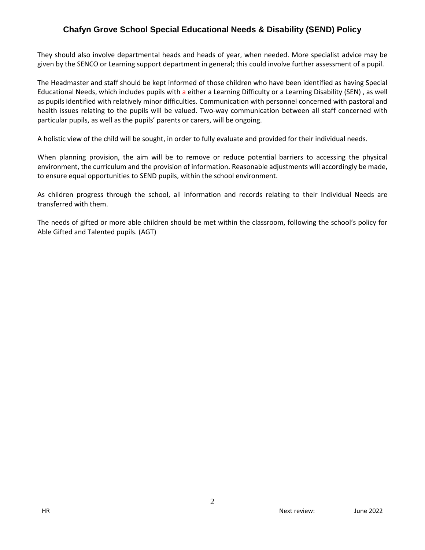They should also involve departmental heads and heads of year, when needed. More specialist advice may be given by the SENCO or Learning support department in general; this could involve further assessment of a pupil.

The Headmaster and staff should be kept informed of those children who have been identified as having Special Educational Needs, which includes pupils with a either a Learning Difficulty or a Learning Disability (SEN) , as well as pupils identified with relatively minor difficulties. Communication with personnel concerned with pastoral and health issues relating to the pupils will be valued. Two-way communication between all staff concerned with particular pupils, as well as the pupils' parents or carers, will be ongoing.

A holistic view of the child will be sought, in order to fully evaluate and provided for their individual needs.

When planning provision, the aim will be to remove or reduce potential barriers to accessing the physical environment, the curriculum and the provision of information. Reasonable adjustments will accordingly be made, to ensure equal opportunities to SEND pupils, within the school environment.

As children progress through the school, all information and records relating to their Individual Needs are transferred with them.

The needs of gifted or more able children should be met within the classroom, following the school's policy for Able Gifted and Talented pupils. (AGT)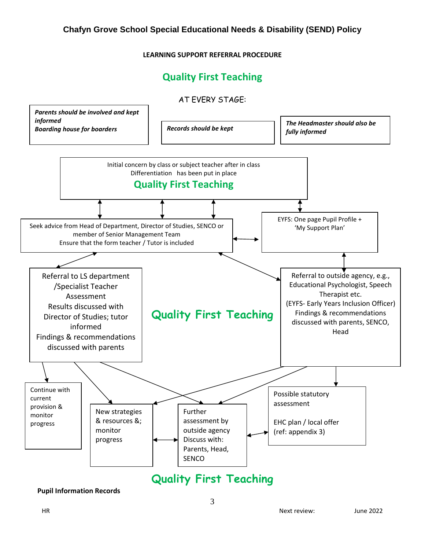#### **LEARNING SUPPORT REFERRAL PROCEDURE**

# **Quality First Teaching**



**Pupil Information Records**

HR Next review: June 2022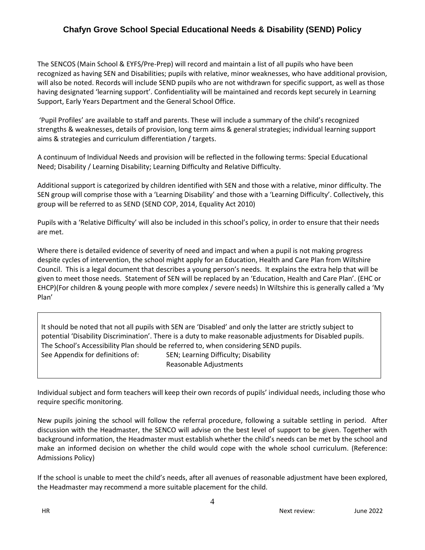The SENCOS (Main School & EYFS/Pre-Prep) will record and maintain a list of all pupils who have been recognized as having SEN and Disabilities; pupils with relative, minor weaknesses, who have additional provision, will also be noted. Records will include SEND pupils who are not withdrawn for specific support, as well as those having designated 'learning support'. Confidentiality will be maintained and records kept securely in Learning Support, Early Years Department and the General School Office.

'Pupil Profiles' are available to staff and parents. These will include a summary of the child's recognized strengths & weaknesses, details of provision, long term aims & general strategies; individual learning support aims & strategies and curriculum differentiation / targets.

A continuum of Individual Needs and provision will be reflected in the following terms: Special Educational Need; Disability / Learning Disability; Learning Difficulty and Relative Difficulty.

Additional support is categorized by children identified with SEN and those with a relative, minor difficulty. The SEN group will comprise those with a 'Learning Disability' and those with a 'Learning Difficulty'. Collectively, this group will be referred to as SEND (SEND COP, 2014, Equality Act 2010)

Pupils with a 'Relative Difficulty' will also be included in this school's policy, in order to ensure that their needs are met.

Where there is detailed evidence of severity of need and impact and when a pupil is not making progress despite cycles of intervention, the school might apply for an Education, Health and Care Plan from Wiltshire Council. This is a legal document that describes a young person's needs. It explains the extra help that will be given to meet those needs. Statement of SEN will be replaced by an 'Education, Health and Care Plan'. (EHC or EHCP)(For children & young people with more complex / severe needs) In Wiltshire this is generally called a 'My Plan'

It should be noted that not all pupils with SEN are 'Disabled' and only the latter are strictly subject to potential 'Disability Discrimination'. There is a duty to make reasonable adjustments for Disabled pupils. The School's Accessibility Plan should be referred to, when considering SEND pupils. See Appendix for definitions of: SEN; Learning Difficulty; Disability Reasonable Adjustments

Individual subject and form teachers will keep their own records of pupils' individual needs, including those who require specific monitoring.

New pupils joining the school will follow the referral procedure, following a suitable settling in period. After discussion with the Headmaster, the SENCO will advise on the best level of support to be given. Together with background information, the Headmaster must establish whether the child's needs can be met by the school and make an informed decision on whether the child would cope with the whole school curriculum. (Reference: Admissions Policy)

If the school is unable to meet the child's needs, after all avenues of reasonable adjustment have been explored, the Headmaster may recommend a more suitable placement for the child.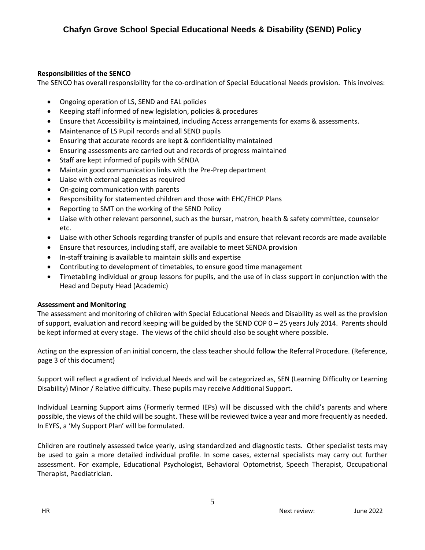### **Responsibilities of the SENCO**

The SENCO has overall responsibility for the co-ordination of Special Educational Needs provision. This involves:

- Ongoing operation of LS, SEND and EAL policies
- Keeping staff informed of new legislation, policies & procedures
- Ensure that Accessibility is maintained, including Access arrangements for exams & assessments.
- Maintenance of LS Pupil records and all SEND pupils
- Ensuring that accurate records are kept & confidentiality maintained
- Ensuring assessments are carried out and records of progress maintained
- Staff are kept informed of pupils with SENDA
- Maintain good communication links with the Pre-Prep department
- Liaise with external agencies as required
- On-going communication with parents
- Responsibility for statemented children and those with EHC/EHCP Plans
- Reporting to SMT on the working of the SEND Policy
- Liaise with other relevant personnel, such as the bursar, matron, health & safety committee, counselor etc.
- Liaise with other Schools regarding transfer of pupils and ensure that relevant records are made available
- Ensure that resources, including staff, are available to meet SENDA provision
- In-staff training is available to maintain skills and expertise
- Contributing to development of timetables, to ensure good time management
- Timetabling individual or group lessons for pupils, and the use of in class support in conjunction with the Head and Deputy Head (Academic)

### **Assessment and Monitoring**

The assessment and monitoring of children with Special Educational Needs and Disability as well as the provision of support, evaluation and record keeping will be guided by the SEND COP 0 – 25 years July 2014. Parents should be kept informed at every stage. The views of the child should also be sought where possible.

Acting on the expression of an initial concern, the class teacher should follow the Referral Procedure. (Reference, page 3 of this document)

Support will reflect a gradient of Individual Needs and will be categorized as, SEN (Learning Difficulty or Learning Disability) Minor / Relative difficulty. These pupils may receive Additional Support.

Individual Learning Support aims (Formerly termed IEPs) will be discussed with the child's parents and where possible, the views of the child will be sought. These will be reviewed twice a year and more frequently as needed. In EYFS, a 'My Support Plan' will be formulated.

Children are routinely assessed twice yearly, using standardized and diagnostic tests. Other specialist tests may be used to gain a more detailed individual profile. In some cases, external specialists may carry out further assessment. For example, Educational Psychologist, Behavioral Optometrist, Speech Therapist, Occupational Therapist, Paediatrician.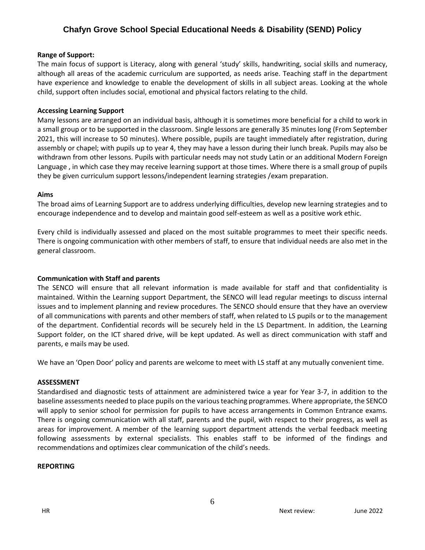#### **Range of Support:**

The main focus of support is Literacy, along with general 'study' skills, handwriting, social skills and numeracy, although all areas of the academic curriculum are supported, as needs arise. Teaching staff in the department have experience and knowledge to enable the development of skills in all subject areas. Looking at the whole child, support often includes social, emotional and physical factors relating to the child.

#### **Accessing Learning Support**

Many lessons are arranged on an individual basis, although it is sometimes more beneficial for a child to work in a small group or to be supported in the classroom. Single lessons are generally 35 minutes long (From September 2021, this will increase to 50 minutes). Where possible, pupils are taught immediately after registration, during assembly or chapel; with pupils up to year 4, they may have a lesson during their lunch break. Pupils may also be withdrawn from other lessons. Pupils with particular needs may not study Latin or an additional Modern Foreign Language , in which case they may receive learning support at those times. Where there is a small group of pupils they be given curriculum support lessons/independent learning strategies /exam preparation.

#### **Aims**

The broad aims of Learning Support are to address underlying difficulties, develop new learning strategies and to encourage independence and to develop and maintain good self-esteem as well as a positive work ethic.

Every child is individually assessed and placed on the most suitable programmes to meet their specific needs. There is ongoing communication with other members of staff, to ensure that individual needs are also met in the general classroom.

#### **Communication with Staff and parents**

The SENCO will ensure that all relevant information is made available for staff and that confidentiality is maintained. Within the Learning support Department, the SENCO will lead regular meetings to discuss internal issues and to implement planning and review procedures. The SENCO should ensure that they have an overview of all communications with parents and other members of staff, when related to LS pupils or to the management of the department. Confidential records will be securely held in the LS Department. In addition, the Learning Support folder, on the ICT shared drive, will be kept updated. As well as direct communication with staff and parents, e mails may be used.

We have an 'Open Door' policy and parents are welcome to meet with LS staff at any mutually convenient time.

#### **ASSESSMENT**

Standardised and diagnostic tests of attainment are administered twice a year for Year 3-7, in addition to the baseline assessments needed to place pupils on the various teaching programmes. Where appropriate, the SENCO will apply to senior school for permission for pupils to have access arrangements in Common Entrance exams. There is ongoing communication with all staff, parents and the pupil, with respect to their progress, as well as areas for improvement. A member of the learning support department attends the verbal feedback meeting following assessments by external specialists. This enables staff to be informed of the findings and recommendations and optimizes clear communication of the child's needs.

#### **REPORTING**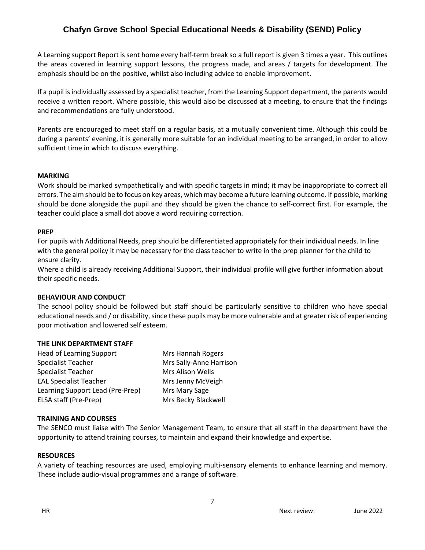A Learning support Report is sent home every half-term break so a full report is given 3 times a year. This outlines the areas covered in learning support lessons, the progress made, and areas / targets for development. The emphasis should be on the positive, whilst also including advice to enable improvement.

If a pupil is individually assessed by a specialist teacher, from the Learning Support department, the parents would receive a written report. Where possible, this would also be discussed at a meeting, to ensure that the findings and recommendations are fully understood.

Parents are encouraged to meet staff on a regular basis, at a mutually convenient time. Although this could be during a parents' evening, it is generally more suitable for an individual meeting to be arranged, in order to allow sufficient time in which to discuss everything.

#### **MARKING**

Work should be marked sympathetically and with specific targets in mind; it may be inappropriate to correct all errors. The aim should be to focus on key areas, which may become a future learning outcome. If possible, marking should be done alongside the pupil and they should be given the chance to self-correct first. For example, the teacher could place a small dot above a word requiring correction.

#### **PREP**

For pupils with Additional Needs, prep should be differentiated appropriately for their individual needs. In line with the general policy it may be necessary for the class teacher to write in the prep planner for the child to ensure clarity.

Where a child is already receiving Additional Support, their individual profile will give further information about their specific needs.

### **BEHAVIOUR AND CONDUCT**

The school policy should be followed but staff should be particularly sensitive to children who have special educational needs and / or disability, since these pupils may be more vulnerable and at greater risk of experiencing poor motivation and lowered self esteem.

#### **THE LINK DEPARTMENT STAFF**

| <b>Head of Learning Support</b>  | Mrs Hannah Rogers       |
|----------------------------------|-------------------------|
| Specialist Teacher               | Mrs Sally-Anne Harrison |
| <b>Specialist Teacher</b>        | Mrs Alison Wells        |
| <b>EAL Specialist Teacher</b>    | Mrs Jenny McVeigh       |
| Learning Support Lead (Pre-Prep) | Mrs Mary Sage           |
| ELSA staff (Pre-Prep)            | Mrs Becky Blackwell     |
|                                  |                         |

#### **TRAINING AND COURSES**

The SENCO must liaise with The Senior Management Team, to ensure that all staff in the department have the opportunity to attend training courses, to maintain and expand their knowledge and expertise.

#### **RESOURCES**

A variety of teaching resources are used, employing multi-sensory elements to enhance learning and memory. These include audio-visual programmes and a range of software.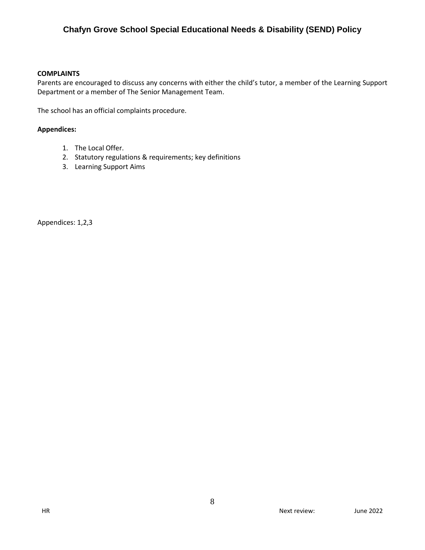#### **COMPLAINTS**

Parents are encouraged to discuss any concerns with either the child's tutor, a member of the Learning Support Department or a member of The Senior Management Team.

The school has an official complaints procedure.

#### **Appendices:**

- 1. The Local Offer.
- 2. Statutory regulations & requirements; key definitions
- 3. Learning Support Aims

Appendices: 1,2,3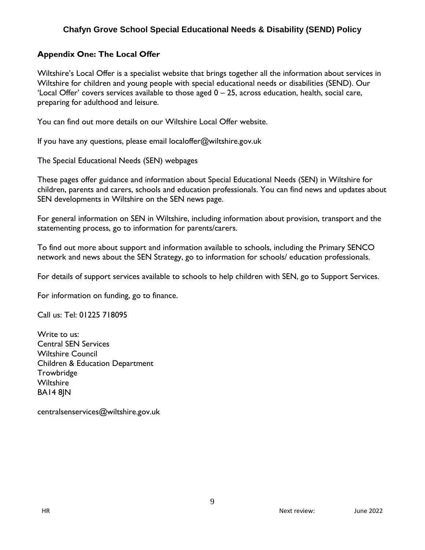### **Appendix One: The Local Offer**

Wiltshire's Local Offer is a specialist website that brings together all the information about services in Wiltshire for children and young people with special educational needs or disabilities (SEND). Our 'Local Offer' covers services available to those aged  $0 - 25$ , across education, health, social care, preparing for adulthood and leisure.

You can find out more details on our Wiltshire Local Offer website.

If you have any questions, please email localoffer@wiltshire.gov.uk

The Special Educational Needs (SEN) webpages

These pages offer guidance and information about Special Educational Needs (SEN) in Wiltshire for children, parents and carers, schools and education professionals. You can find news and updates about SEN developments in Wiltshire on the SEN news page.

For general information on SEN in Wiltshire, including information about provision, transport and the statementing process, go to information for parents/carers.

To find out more about support and information available to schools, including the Primary SENCO network and news about the SEN Strategy, go to information for schools/ education professionals.

For details of support services available to schools to help children with SEN, go to Support Services.

For information on funding, go to finance.

Call us: Tel: 01225 718095

Write to us: Central SEN Services Wiltshire Council Children & Education Department Trowbridge **Wiltshire** BA14 8JN

centralsenservices@wiltshire.gov.uk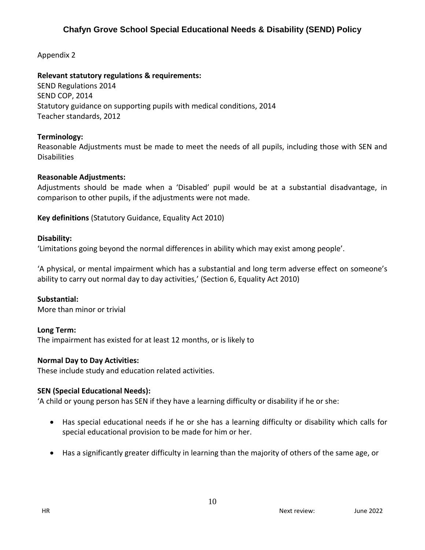Appendix 2

### **Relevant statutory regulations & requirements:**

SEND Regulations 2014 SEND COP, 2014 Statutory guidance on supporting pupils with medical conditions, 2014 Teacher standards, 2012

### **Terminology:**

Reasonable Adjustments must be made to meet the needs of all pupils, including those with SEN and Disabilities

# **Reasonable Adjustments:**

Adjustments should be made when a 'Disabled' pupil would be at a substantial disadvantage, in comparison to other pupils, if the adjustments were not made.

**Key definitions** (Statutory Guidance, Equality Act 2010)

### **Disability:**

'Limitations going beyond the normal differences in ability which may exist among people'.

'A physical, or mental impairment which has a substantial and long term adverse effect on someone's ability to carry out normal day to day activities,' (Section 6, Equality Act 2010)

### **Substantial:**

More than minor or trivial

### **Long Term:**

The impairment has existed for at least 12 months, or is likely to

### **Normal Day to Day Activities:**

These include study and education related activities.

### **SEN (Special Educational Needs):**

'A child or young person has SEN if they have a learning difficulty or disability if he or she:

- Has special educational needs if he or she has a learning difficulty or disability which calls for special educational provision to be made for him or her.
- Has a significantly greater difficulty in learning than the majority of others of the same age, or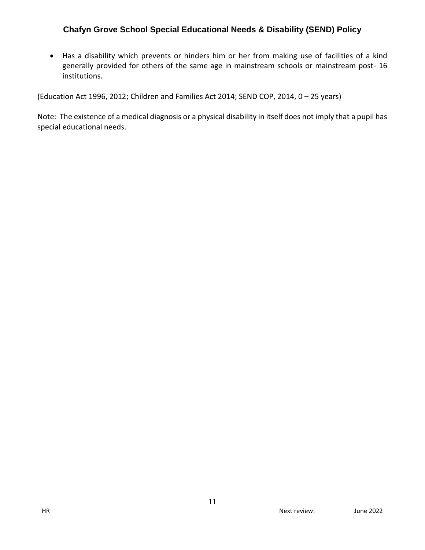Has a disability which prevents or hinders him or her from making use of facilities of a kind generally provided for others of the same age in mainstream schools or mainstream post- 16 institutions.

(Education Act 1996, 2012; Children and Families Act 2014; SEND COP, 2014, 0 – 25 years)

Note: The existence of a medical diagnosis or a physical disability in itself does not imply that a pupil has special educational needs.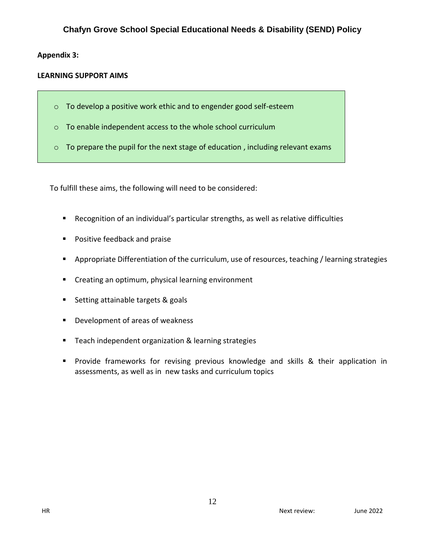### **Appendix 3:**

### **LEARNING SUPPORT AIMS**

- o To develop a positive work ethic and to engender good self-esteem
- o To enable independent access to the whole school curriculum
- o To prepare the pupil for the next stage of education , including relevant exams

To fulfill these aims, the following will need to be considered:

- Recognition of an individual's particular strengths, as well as relative difficulties
- **Positive feedback and praise**
- **Appropriate Differentiation of the curriculum, use of resources, teaching / learning strategies**
- **Creating an optimum, physical learning environment**
- Setting attainable targets & goals
- **Development of areas of weakness**
- Teach independent organization & learning strategies
- **Provide frameworks for revising previous knowledge and skills & their application in** assessments, as well as in new tasks and curriculum topics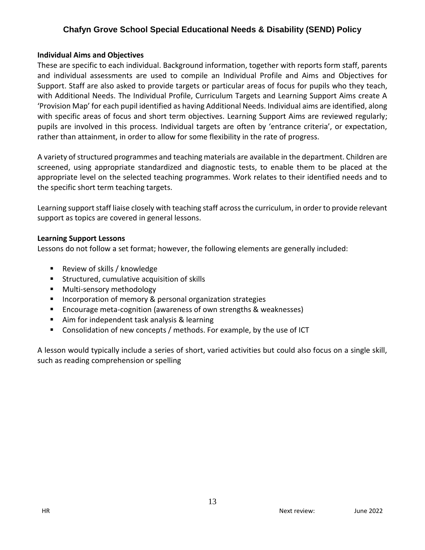### **Individual Aims and Objectives**

These are specific to each individual. Background information, together with reports form staff, parents and individual assessments are used to compile an Individual Profile and Aims and Objectives for Support. Staff are also asked to provide targets or particular areas of focus for pupils who they teach, with Additional Needs. The Individual Profile, Curriculum Targets and Learning Support Aims create A 'Provision Map' for each pupil identified as having Additional Needs. Individual aims are identified, along with specific areas of focus and short term objectives. Learning Support Aims are reviewed regularly; pupils are involved in this process. Individual targets are often by 'entrance criteria', or expectation, rather than attainment, in order to allow for some flexibility in the rate of progress.

A variety of structured programmes and teaching materials are available in the department. Children are screened, using appropriate standardized and diagnostic tests, to enable them to be placed at the appropriate level on the selected teaching programmes. Work relates to their identified needs and to the specific short term teaching targets.

Learning support staff liaise closely with teaching staff across the curriculum, in order to provide relevant support as topics are covered in general lessons.

### **Learning Support Lessons**

Lessons do not follow a set format; however, the following elements are generally included:

- Review of skills / knowledge
- **Structured, cumulative acquisition of skills**
- Multi-sensory methodology
- **Incorporation of memory & personal organization strategies**
- Encourage meta-cognition (awareness of own strengths & weaknesses)
- Aim for independent task analysis & learning
- **Consolidation of new concepts / methods. For example, by the use of ICT**

A lesson would typically include a series of short, varied activities but could also focus on a single skill, such as reading comprehension or spelling